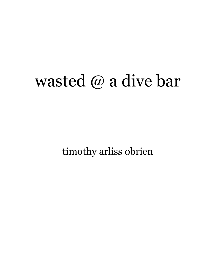## wasted @ a dive bar

timothy arliss obrien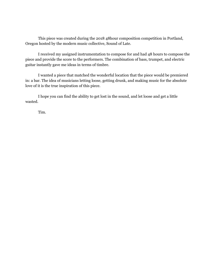This piece was created during the 2018 48hour composition competition in Portland, Oregon hosted by the modern music collective, Sound of Late.

I received my assigned instrumentation to compose for and had 48 hours to compose the piece and provide the score to the performers. The combination of bass, trumpet, and electric guitar instantly gave me ideas in terms of timbre.

I wanted a piece that matched the wonderful location that the piece would be premiered in: a bar. The idea of musicians letting loose, getting drunk, and making music for the absolute love of it is the true inspiration of this piece.

I hope you can find the ability to get lost in the sound, and let loose and get a little wasted.

Tim.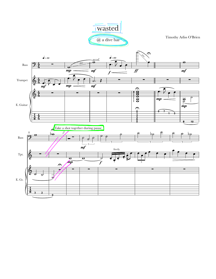